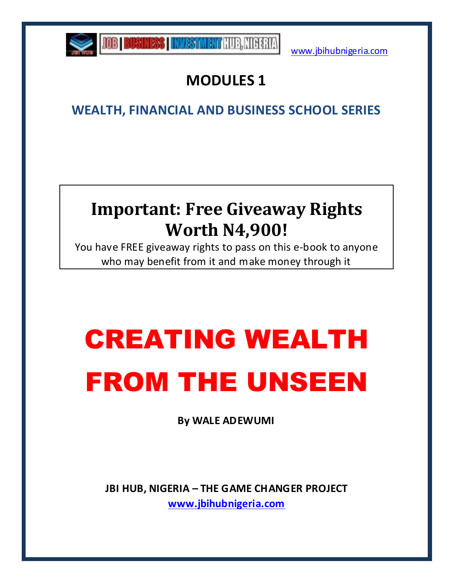

**SECOND BUSINESS | INVESTMENT HUB, HIGHAN** 

[www.jbihubnigeria.com](http://www.jbihubnigeria.com/)

# **MODULES 1**

## **WEALTH, FINANCIAL AND BUSINESS SCHOOL SERIES**

# **Important: Free Giveaway Rights Worth N4,900!**

You have FREE giveaway rights to pass on this e-book to anyone who may benefit from it and make money through it

# CREATING WEALTH FROM THE UNSEEN

**By WALE ADEWUMI**

**JBI HUB, NIGERIA – THE GAME CHANGER PROJECT [www.jbihubnigeria.com](http://www.jbihubnigeria.com/)**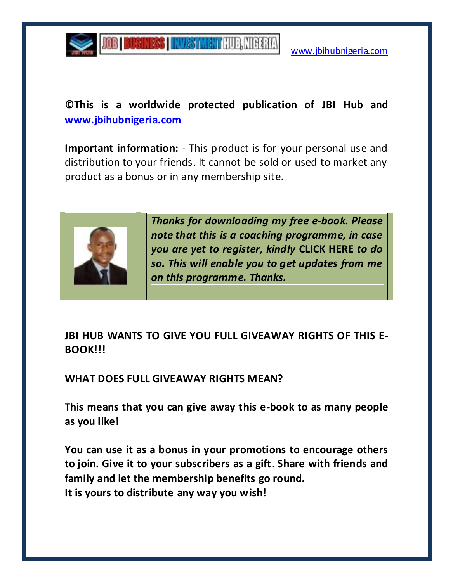

### **©This is a worldwide protected publication of JBI Hub and [www.jbihubnigeria.com](http://www.worldchangersnetwork.org/)**

**Important information:** - This product is for your personal use and distribution to your friends. It cannot be sold or used to market any product as a bonus or in any membership site.



*Thanks for downloading my free e-book. Please note that this is a coaching programme, in case you are yet to register, kindly* **CLICK HERE** *to do so. This will enable you to get updates from me on this programme. Thanks.*

#### **JBI HUB WANTS TO GIVE YOU FULL GIVEAWAY RIGHTS OF THIS E-BOOK!!!**

**WHAT DOES FULL GIVEAWAY RIGHTS MEAN?** 

**This means that you can give away this e-book to as many people as you like!** 

**You can use it as a bonus in your promotions to encourage others to join. Give it to your subscribers as a gift**. **Share with friends and family and let the membership benefits go round. It is yours to distribute any way you wish!**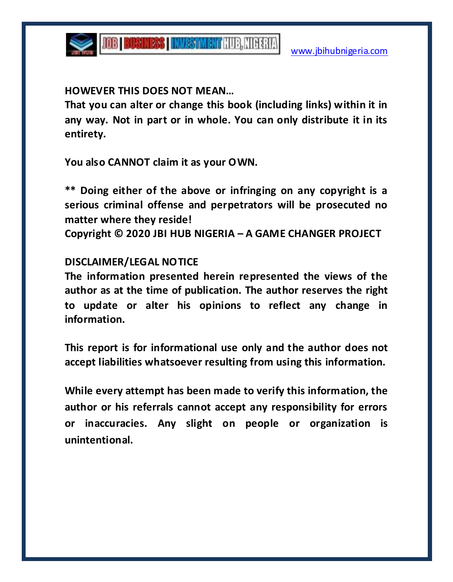

**HOWEVER THIS DOES NOT MEAN…** 

**That you can alter or change this book (including links) within it in any way. Not in part or in whole. You can only distribute it in its entirety.** 

**You also CANNOT claim it as your OWN.** 

**\*\* Doing either of the above or infringing on any copyright is a serious criminal offense and perpetrators will be prosecuted no matter where they reside! Copyright © 2020 JBI HUB NIGERIA – A GAME CHANGER PROJECT**

#### **DISCLAIMER/LEGAL NOTICE**

**The information presented herein represented the views of the author as at the time of publication. The author reserves the right to update or alter his opinions to reflect any change in information.** 

**This report is for informational use only and the author does not accept liabilities whatsoever resulting from using this information.** 

**While every attempt has been made to verify this information, the author or his referrals cannot accept any responsibility for errors or inaccuracies. Any slight on people or organization is unintentional.**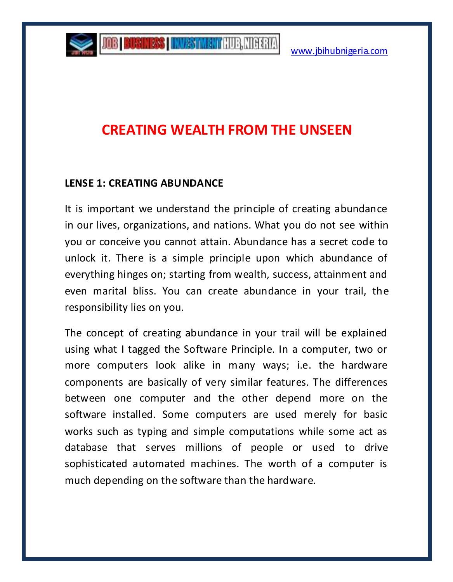## **CREATING WEALTH FROM THE UNSEEN**

#### **LENSE 1: CREATING ABUNDANCE**

It is important we understand the principle of creating abundance in our lives, organizations, and nations. What you do not see within you or conceive you cannot attain. Abundance has a secret code to unlock it. There is a simple principle upon which abundance of everything hinges on; starting from wealth, success, attainment and even marital bliss. You can create abundance in your trail, the responsibility lies on you.

The concept of creating abundance in your trail will be explained using what I tagged the Software Principle. In a computer, two or more computers look alike in many ways; i.e. the hardware components are basically of very similar features. The differences between one computer and the other depend more on the software installed. Some computers are used merely for basic works such as typing and simple computations while some act as database that serves millions of people or used to drive sophisticated automated machines. The worth of a computer is much depending on the software than the hardware.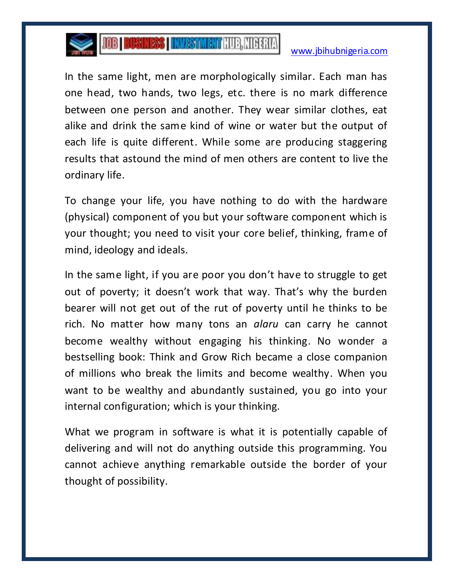

# **108 BUSINESS INVESTMENT HUB, NIGHAMA**

#### [www.jbihubnigeria.com](http://www.jbihubnigeria.com/)

In the same light, men are morphologically similar. Each man has one head, two hands, two legs, etc. there is no mark difference between one person and another. They wear similar clothes, eat alike and drink the same kind of wine or water but the output of each life is quite different. While some are producing staggering results that astound the mind of men others are content to live the ordinary life.

To change your life, you have nothing to do with the hardware (physical) component of you but your software component which is your thought; you need to visit your core belief, thinking, frame of mind, ideology and ideals.

In the same light, if you are poor you don't have to struggle to get out of poverty; it doesn't work that way. That's why the burden bearer will not get out of the rut of poverty until he thinks to be rich. No matter how many tons an *alaru* can carry he cannot become wealthy without engaging his thinking. No wonder a bestselling book: Think and Grow Rich became a close companion of millions who break the limits and become wealthy. When you want to be wealthy and abundantly sustained, you go into your internal configuration; which is your thinking.

What we program in software is what it is potentially capable of delivering and will not do anything outside this programming. You cannot achieve anything remarkable outside the border of your thought of possibility.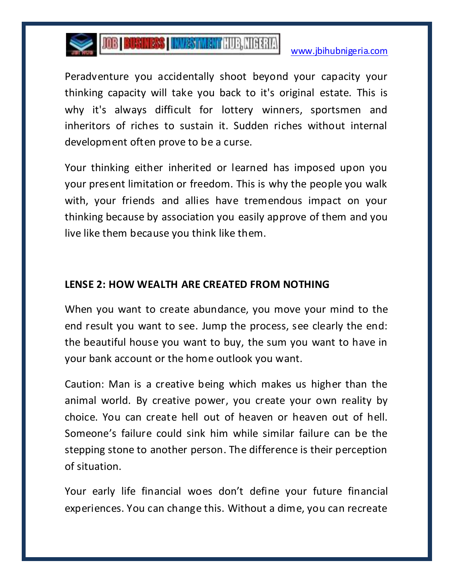

**SOUTH AND DESCRIPTION OF A SET OF A STATE OF A SET OF A STATE OF A SET OF A SET OF A SET OF A SET OF A SET OF A** 

Peradventure you accidentally shoot beyond your capacity your thinking capacity will take you back to it's original estate. This is why it's always difficult for lottery winners, sportsmen and inheritors of riches to sustain it. Sudden riches without internal development often prove to be a curse.

Your thinking either inherited or learned has imposed upon you your present limitation or freedom. This is why the people you walk with, your friends and allies have tremendous impact on your thinking because by association you easily approve of them and you live like them because you think like them.

#### **LENSE 2: HOW WEALTH ARE CREATED FROM NOTHING**

When you want to create abundance, you move your mind to the end result you want to see. Jump the process, see clearly the end: the beautiful house you want to buy, the sum you want to have in your bank account or the home outlook you want.

Caution: Man is a creative being which makes us higher than the animal world. By creative power, you create your own reality by choice. You can create hell out of heaven or heaven out of hell. Someone's failure could sink him while similar failure can be the stepping stone to another person. The difference is their perception of situation.

Your early life financial woes don't define your future financial experiences. You can change this. Without a dime, you can recreate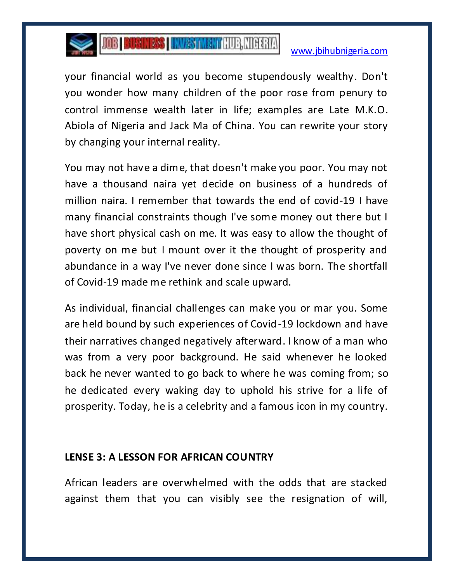

**SOLUTION CONTROLS | INVESTMENT HUB, HIGHAN** 

#### [www.jbihubnigeria.com](http://www.jbihubnigeria.com/)

your financial world as you become stupendously wealthy. Don't you wonder how many children of the poor rose from penury to control immense wealth later in life; examples are Late M.K.O. Abiola of Nigeria and Jack Ma of China. You can rewrite your story by changing your internal reality.

You may not have a dime, that doesn't make you poor. You may not have a thousand naira yet decide on business of a hundreds of million naira. I remember that towards the end of covid-19 I have many financial constraints though I've some money out there but I have short physical cash on me. It was easy to allow the thought of poverty on me but I mount over it the thought of prosperity and abundance in a way I've never done since I was born. The shortfall of Covid-19 made me rethink and scale upward.

As individual, financial challenges can make you or mar you. Some are held bound by such experiences of Covid-19 lockdown and have their narratives changed negatively afterward. I know of a man who was from a very poor background. He said whenever he looked back he never wanted to go back to where he was coming from; so he dedicated every waking day to uphold his strive for a life of prosperity. Today, he is a celebrity and a famous icon in my country.

#### **LENSE 3: A LESSON FOR AFRICAN COUNTRY**

African leaders are overwhelmed with the odds that are stacked against them that you can visibly see the resignation of will,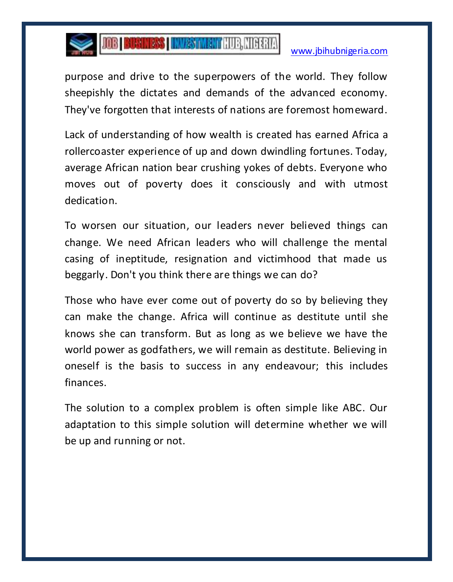

**SECOND RUSHESS | INVESTMENT HUB, HIGHGAN** 

purpose and drive to the superpowers of the world. They follow sheepishly the dictates and demands of the advanced economy. They've forgotten that interests of nations are foremost homeward.

Lack of understanding of how wealth is created has earned Africa a rollercoaster experience of up and down dwindling fortunes. Today, average African nation bear crushing yokes of debts. Everyone who moves out of poverty does it consciously and with utmost dedication.

To worsen our situation, our leaders never believed things can change. We need African leaders who will challenge the mental casing of ineptitude, resignation and victimhood that made us beggarly. Don't you think there are things we can do?

Those who have ever come out of poverty do so by believing they can make the change. Africa will continue as destitute until she knows she can transform. But as long as we believe we have the world power as godfathers, we will remain as destitute. Believing in oneself is the basis to success in any endeavour; this includes finances.

The solution to a complex problem is often simple like ABC. Our adaptation to this simple solution will determine whether we will be up and running or not.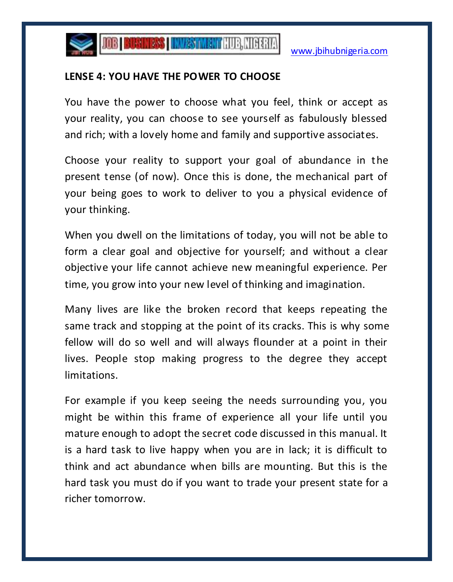

#### **LENSE 4: YOU HAVE THE POWER TO CHOOSE**

You have the power to choose what you feel, think or accept as your reality, you can choose to see yourself as fabulously blessed and rich; with a lovely home and family and supportive associates.

Choose your reality to support your goal of abundance in the present tense (of now). Once this is done, the mechanical part of your being goes to work to deliver to you a physical evidence of your thinking.

When you dwell on the limitations of today, you will not be able to form a clear goal and objective for yourself; and without a clear objective your life cannot achieve new meaningful experience. Per time, you grow into your new level of thinking and imagination.

Many lives are like the broken record that keeps repeating the same track and stopping at the point of its cracks. This is why some fellow will do so well and will always flounder at a point in their lives. People stop making progress to the degree they accept limitations.

For example if you keep seeing the needs surrounding you, you might be within this frame of experience all your life until you mature enough to adopt the secret code discussed in this manual. It is a hard task to live happy when you are in lack; it is difficult to think and act abundance when bills are mounting. But this is the hard task you must do if you want to trade your present state for a richer tomorrow.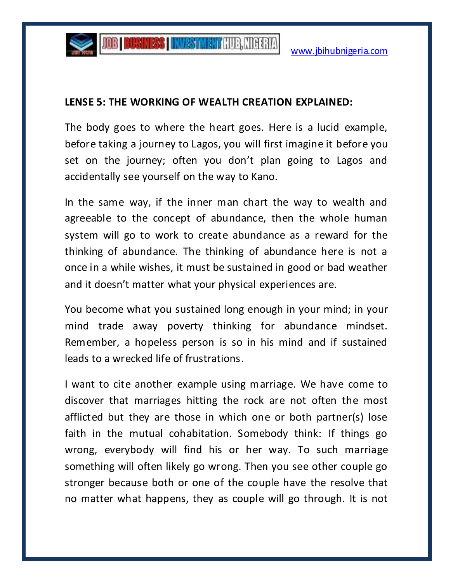

#### **LENSE 5: THE WORKING OF WEALTH CREATION EXPLAINED:**

The body goes to where the heart goes. Here is a lucid example, before taking a journey to Lagos, you will first imagine it before you set on the journey; often you don't plan going to Lagos and accidentally see yourself on the way to Kano.

In the same way, if the inner man chart the way to wealth and agreeable to the concept of abundance, then the whole human system will go to work to create abundance as a reward for the thinking of abundance. The thinking of abundance here is not a once in a while wishes, it must be sustained in good or bad weather and it doesn't matter what your physical experiences are.

You become what you sustained long enough in your mind; in your mind trade away poverty thinking for abundance mindset. Remember, a hopeless person is so in his mind and if sustained leads to a wrecked life of frustrations.

I want to cite another example using marriage. We have come to discover that marriages hitting the rock are not often the most afflicted but they are those in which one or both partner(s) lose faith in the mutual cohabitation. Somebody think: If things go wrong, everybody will find his or her way. To such marriage something will often likely go wrong. Then you see other couple go stronger because both or one of the couple have the resolve that no matter what happens, they as couple will go through. It is not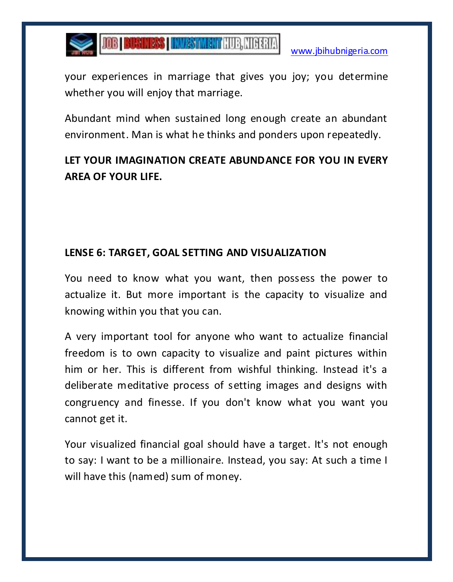

**SEARCH STATES | INVESTMENT HUB, NIGHAMA** 

your experiences in marriage that gives you joy; you determine whether you will enjoy that marriage.

Abundant mind when sustained long enough create an abundant environment. Man is what he thinks and ponders upon repeatedly.

## **LET YOUR IMAGINATION CREATE ABUNDANCE FOR YOU IN EVERY AREA OF YOUR LIFE.**

#### **LENSE 6: TARGET, GOAL SETTING AND VISUALIZATION**

You need to know what you want, then possess the power to actualize it. But more important is the capacity to visualize and knowing within you that you can.

A very important tool for anyone who want to actualize financial freedom is to own capacity to visualize and paint pictures within him or her. This is different from wishful thinking. Instead it's a deliberate meditative process of setting images and designs with congruency and finesse. If you don't know what you want you cannot get it.

Your visualized financial goal should have a target. It's not enough to say: I want to be a millionaire. Instead, you say: At such a time I will have this (named) sum of money.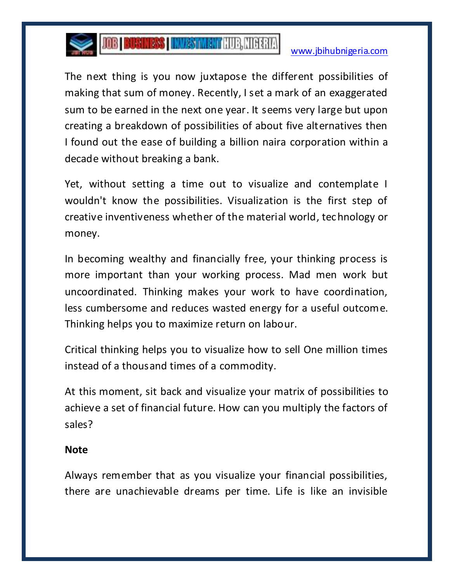

# **SOUTH AND DESCRIPTION OF A SET OF A STATE OF A SET OF A STATE OF A SET OF A SET OF A SET OF A SET OF A SET OF A**

#### [www.jbihubnigeria.com](http://www.jbihubnigeria.com/)

The next thing is you now juxtapose the different possibilities of making that sum of money. Recently, I set a mark of an exaggerated sum to be earned in the next one year. It seems very large but upon creating a breakdown of possibilities of about five alternatives then I found out the ease of building a billion naira corporation within a decade without breaking a bank.

Yet, without setting a time out to visualize and contemplate I wouldn't know the possibilities. Visualization is the first step of creative inventiveness whether of the material world, technology or money.

In becoming wealthy and financially free, your thinking process is more important than your working process. Mad men work but uncoordinated. Thinking makes your work to have coordination, less cumbersome and reduces wasted energy for a useful outcome. Thinking helps you to maximize return on labour.

Critical thinking helps you to visualize how to sell One million times instead of a thousand times of a commodity.

At this moment, sit back and visualize your matrix of possibilities to achieve a set of financial future. How can you multiply the factors of sales?

#### **Note**

Always remember that as you visualize your financial possibilities, there are unachievable dreams per time. Life is like an invisible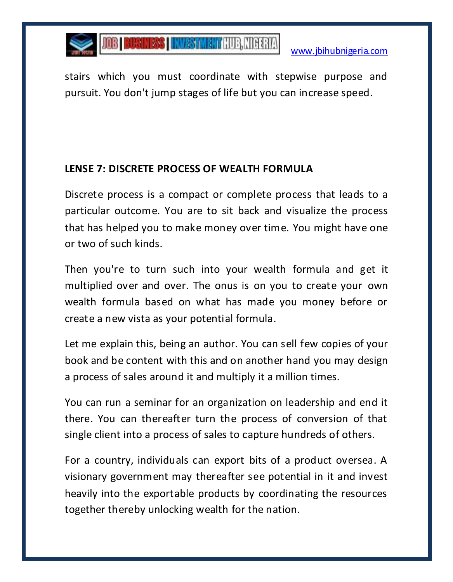

**SOUTH AND DESCRIPTION OF A SET OF A STATE OF A SET OF A STATE OF A SET OF A SET OF A SET OF A SET OF A SET OF A** 

stairs which you must coordinate with stepwise purpose and pursuit. You don't jump stages of life but you can increase speed.

#### **LENSE 7: DISCRETE PROCESS OF WEALTH FORMULA**

Discrete process is a compact or complete process that leads to a particular outcome. You are to sit back and visualize the process that has helped you to make money over time. You might have one or two of such kinds.

Then you're to turn such into your wealth formula and get it multiplied over and over. The onus is on you to create your own wealth formula based on what has made you money before or create a new vista as your potential formula.

Let me explain this, being an author. You can sell few copies of your book and be content with this and on another hand you may design a process of sales around it and multiply it a million times.

You can run a seminar for an organization on leadership and end it there. You can thereafter turn the process of conversion of that single client into a process of sales to capture hundreds of others.

For a country, individuals can export bits of a product oversea. A visionary government may thereafter see potential in it and invest heavily into the exportable products by coordinating the resources together thereby unlocking wealth for the nation.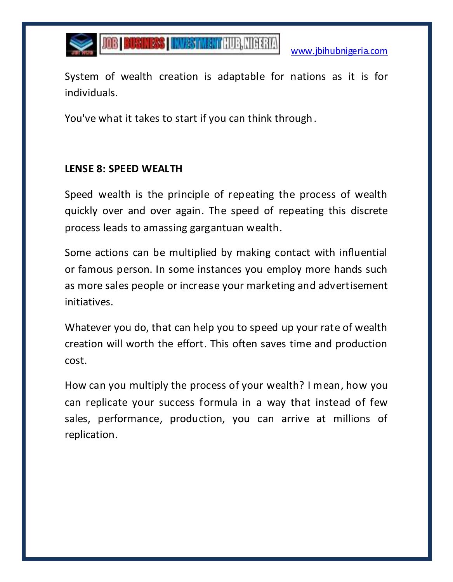

**SOLUTION CONTROLS | INVESTMENT** HUB, HIGHAN

System of wealth creation is adaptable for nations as it is for individuals.

You've what it takes to start if you can think through.

#### **LENSE 8: SPEED WEALTH**

Speed wealth is the principle of repeating the process of wealth quickly over and over again. The speed of repeating this discrete process leads to amassing gargantuan wealth.

Some actions can be multiplied by making contact with influential or famous person. In some instances you employ more hands such as more sales people or increase your marketing and advertisement initiatives.

Whatever you do, that can help you to speed up your rate of wealth creation will worth the effort. This often saves time and production cost.

How can you multiply the process of your wealth? I mean, how you can replicate your success formula in a way that instead of few sales, performance, production, you can arrive at millions of replication.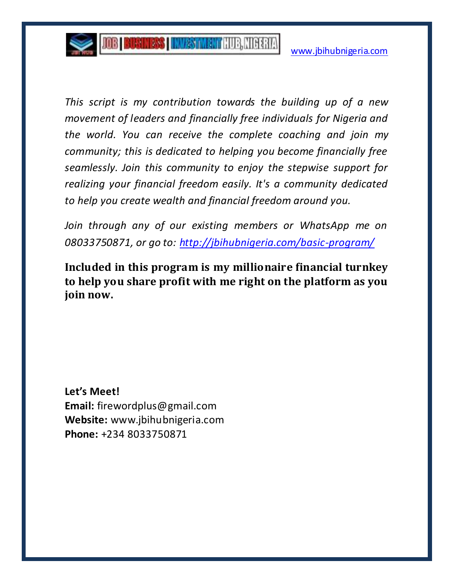

*This script is my contribution towards the building up of a new movement of leaders and financially free individuals for Nigeria and the world. You can receive the complete coaching and join my community; this is dedicated to helping you become financially free seamlessly. Join this community to enjoy the stepwise support for realizing your financial freedom easily. It's a community dedicated to help you create wealth and financial freedom around you.*

*Join through any of our existing members or WhatsApp me on 08033750871, or go to:<http://jbihubnigeria.com/basic-program/>*

**Included in this program is my millionaire financial turnkey to help you share profit with me right on the platform as you join now.**

**Let's Meet! Email:** firewordplus@gmail.com **Website:** www.jbihubnigeria.com **Phone:** +234 8033750871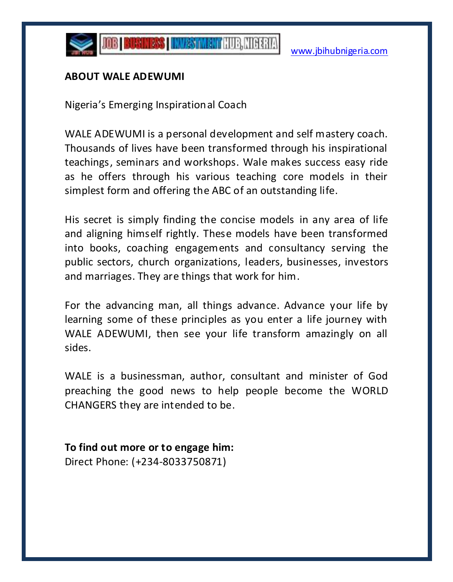

#### **ABOUT WALE ADEWUMI**

Nigeria's Emerging Inspirational Coach

WALE ADEWUMI is a personal development and self mastery coach. Thousands of lives have been transformed through his inspirational teachings, seminars and workshops. Wale makes success easy ride as he offers through his various teaching core models in their simplest form and offering the ABC of an outstanding life.

His secret is simply finding the concise models in any area of life and aligning himself rightly. These models have been transformed into books, coaching engagements and consultancy serving the public sectors, church organizations, leaders, businesses, investors and marriages. They are things that work for him.

For the advancing man, all things advance. Advance your life by learning some of these principles as you enter a life journey with WALE ADEWUMI, then see your life transform amazingly on all sides.

WALE is a businessman, author, consultant and minister of God preaching the good news to help people become the WORLD CHANGERS they are intended to be.

**To find out more or to engage him:** Direct Phone: (+234-8033750871)